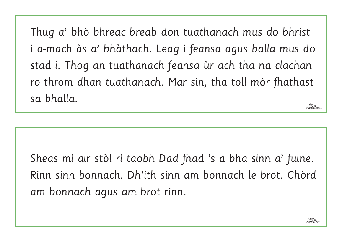Thug a' bhò bhreac breab don tuathanach mus do bhrist i a-mach às a' bhàthach. Leag i feansa agus balla mus do stad i. Thog an tuathanach feansa ùr ach tha na clachan ro throm dhan tuathanach. Mar sin, tha toll mòr fhathast sa bhalla.

Sheas mi air stòl ri taobh Dad fhad 's a bha sinn a' fuine. Rinn sinn bonnach. Dh'ith sinn am bonnach le brot. Chòrd am bonnach agus am brot rinn.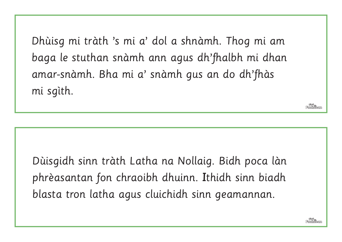Dhùisg mi tràth 's mi a' dol a shnàmh. Thog mi am baga le stuthan snàmh ann agus dh'fhalbh mi dhan amar-snàmh. Bha mi a' snàmh gus an do dh'fhàs mi sgìth.

Dùisgidh sinn tràth Latha na Nollaig. Bidh poca làn phrèasantan fon chraoibh dhuinn. Ithidh sinn biadh blasta tron latha agus cluichidh sinn geamannan.

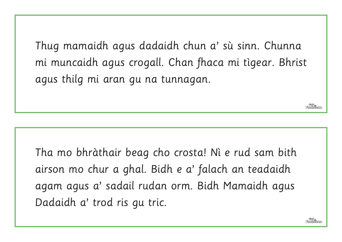Thug mamaidh agus dadaidh chun a' sù sinn. Chunna mi muncaidh agus crogall. Chan fhaca mi tìgear. Bhrist agus thilg mi aran gu na tunnagan.

Tha mo bhràthair beag cho crosta! Nì e rud sam bith airson mo chur a ghal. Bidh e a' falach an teadaidh agam agus a' sadail rudan orm. Bidh Mamaidh agus Dadaidh a' trod ris gu tric.

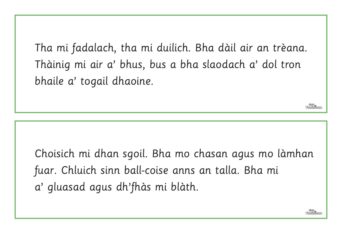Tha mi fadalach, tha mi duilich. Bha dàil air an trèana. Thàinig mi air a' bhus, bus a bha slaodach a' dol tron bhaile a' togail dhaoine.

Choisich mi dhan sgoil. Bha mo chasan agus mo làmhan fuar. Chluich sinn ball-coise anns an talla. Bha mi a' gluasad agus dh'fhàs mi blàth.